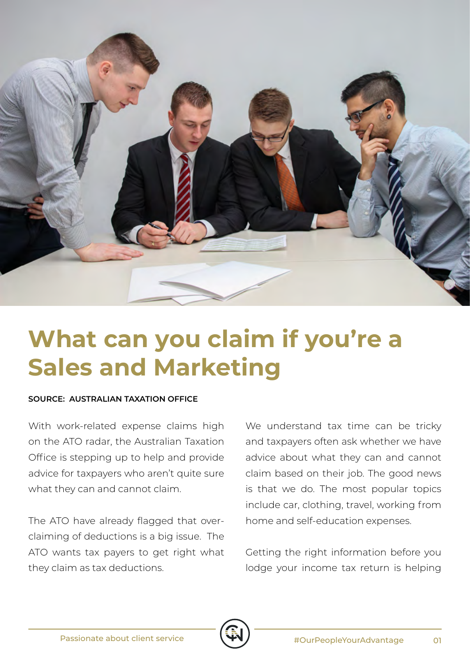

## **What can you claim if you're a Sales and Marketing**

## **SOURCE: AUSTRALIAN TAXATION OFFICE**

With work-related expense claims high on the ATO radar, the Australian Taxation Office is stepping up to help and provide advice for taxpayers who aren't quite sure what they can and cannot claim.

The ATO have already flagged that overclaiming of deductions is a big issue. The ATO wants tax payers to get right what they claim as tax deductions.

We understand tax time can be tricky and taxpayers often ask whether we have advice about what they can and cannot claim based on their job. The good news is that we do. The most popular topics include car, clothing, travel, working from home and self-education expenses.

Getting the right information before you lodge your income tax return is helping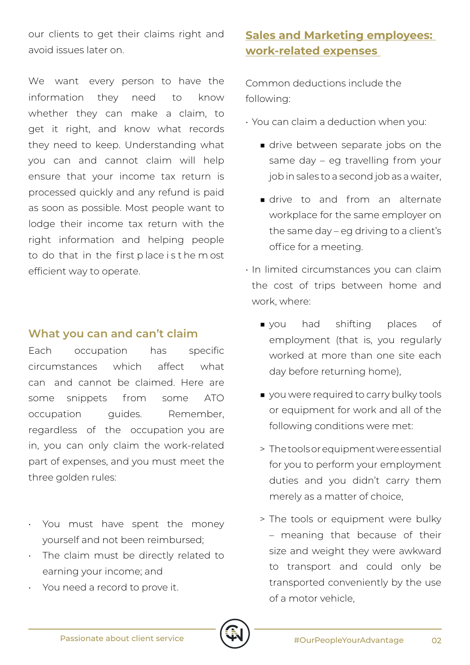our clients to get their claims right and avoid issues later on.

We want every person to have the information they need to know whether they can make a claim, to get it right, and know what records they need to keep. Understanding what you can and cannot claim will help ensure that your income tax return is processed quickly and any refund is paid as soon as possible. Most people want to lodge their income tax return with the right information and helping people to do that in the first p lace i s t he m ost efficient way to operate.

## **What you can and can't claim**

Each occupation has specific circumstances which affect what can and cannot be claimed. Here are some snippets from some ATO occupation quides. Remember, regardless of the occupation you are in, you can only claim the work-related part of expenses, and you must meet the three golden rules:

- You must have spent the money yourself and not been reimbursed;
- The claim must be directly related to earning your income; and
- You need a record to prove it.

## **Sales and Marketing employees: work-related expenses**

Common deductions include the following:

- You can claim a deduction when you:
	- drive between separate jobs on the same day – eg travelling from your job in sales to a second job as a waiter,
	- drive to and from an alternate workplace for the same employer on the same day – eg driving to a client's office for a meeting.
- In limited circumstances you can claim the cost of trips between home and work, where:
	- you had shifting places of employment (that is, you regularly worked at more than one site each day before returning home),
	- you were required to carry bulky tools or equipment for work and all of the following conditions were met:
	- > The tools or equipment were essential for you to perform your employment duties and you didn't carry them merely as a matter of choice,
	- > The tools or equipment were bulky – meaning that because of their size and weight they were awkward to transport and could only be transported conveniently by the use of a motor vehicle,